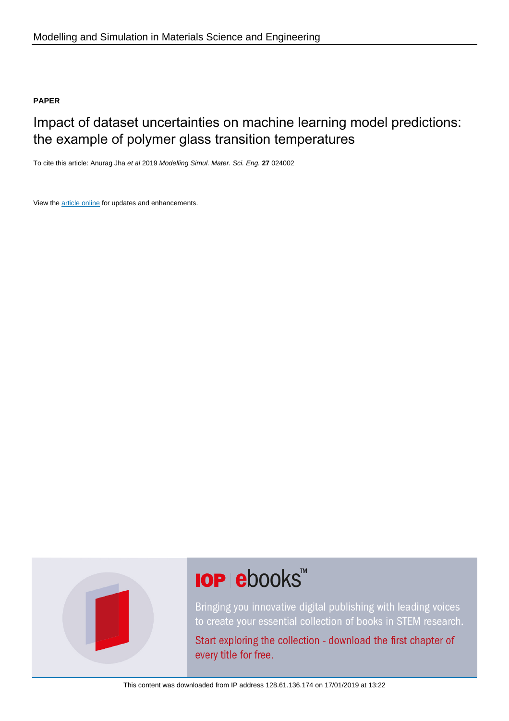### **PAPER**

### Impact of dataset uncertainties on machine learning model predictions: the example of polymer glass transition temperatures

To cite this article: Anurag Jha et al 2019 Modelling Simul. Mater. Sci. Eng. **27** 024002

View the [article online](https://doi.org/10.1088/1361-651X/aaf8ca) for updates and enhancements.



# **IOP ebooks**™

Bringing you innovative digital publishing with leading voices to create your essential collection of books in STEM research.

Start exploring the collection - download the first chapter of every title for free.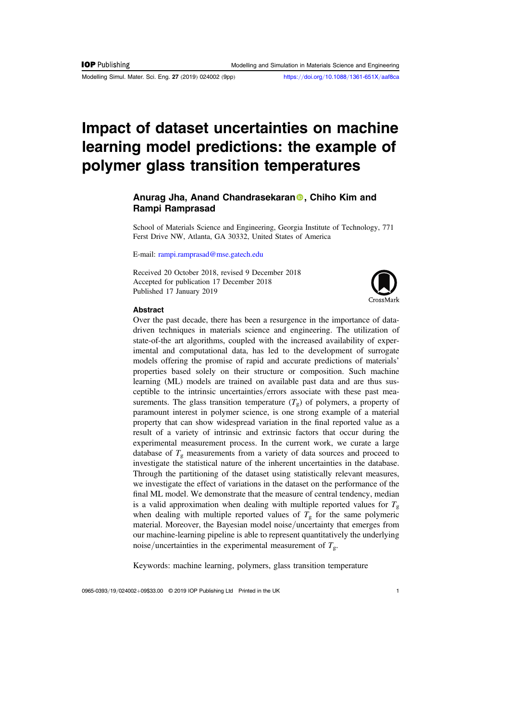Modelling Simul. Mater. Sci. Eng. 27 (2019) 024002 (9pp) https://doi.org/10.1088/[1361-651X](https://doi.org/10.1088/1361-651X/aaf8ca)/aaf8ca

## Impact of dataset uncertainties on machine learning model predictions: the example of polymer glass transition temperatures

#### A[n](https://orcid.org/0000-0002-2794-3717)urag Jha, Anand Chandrasekaran<sup>®</sup>, Chiho Kim and Rampi Ramprasad

School of Materials Science and Engineering, Georgia Institute of Technology, 771 Ferst Drive NW, Atlanta, GA 30332, United States of America

E-mail: [rampi.ramprasad@mse.gatech.edu](mailto:rampi.ramprasad@mse.gatech.edu)

Received 20 October 2018, revised 9 December 2018 Accepted for publication 17 December 2018 Published 17 January 2019



#### Abstract

Over the past decade, there has been a resurgence in the importance of datadriven techniques in materials science and engineering. The utilization of state-of-the art algorithms, coupled with the increased availability of experimental and computational data, has led to the development of surrogate models offering the promise of rapid and accurate predictions of materials' properties based solely on their structure or composition. Such machine learning (ML) models are trained on available past data and are thus susceptible to the intrinsic uncertainties/errors associate with these past measurements. The glass transition temperature  $(T_g)$  of polymers, a property of paramount interest in polymer science, is one strong example of a material property that can show widespread variation in the final reported value as a result of a variety of intrinsic and extrinsic factors that occur during the experimental measurement process. In the current work, we curate a large database of  $T_g$  measurements from a variety of data sources and proceed to investigate the statistical nature of the inherent uncertainties in the database. Through the partitioning of the dataset using statistically relevant measures, we investigate the effect of variations in the dataset on the performance of the final ML model. We demonstrate that the measure of central tendency, median is a valid approximation when dealing with multiple reported values for  $T_g$ when dealing with multiple reported values of  $T<sub>g</sub>$  for the same polymeric material. Moreover, the Bayesian model noise/uncertainty that emerges from our machine-learning pipeline is able to represent quantitatively the underlying noise/uncertainties in the experimental measurement of  $T_g$ .

Keywords: machine learning, polymers, glass transition temperature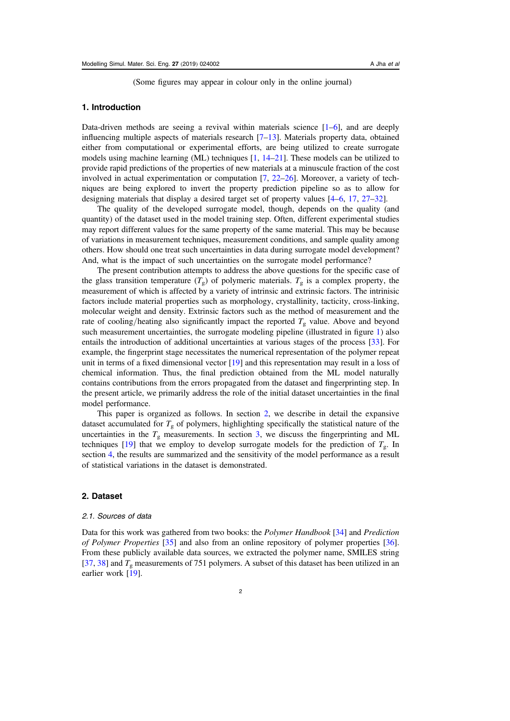(Some figures may appear in colour only in the online journal)

#### 1. Introduction

Data-driven methods are seeing a revival within materials science  $[1-6]$  $[1-6]$  $[1-6]$  $[1-6]$  $[1-6]$ , and are deeply influencing multiple aspects of materials research  $[7-13]$  $[7-13]$  $[7-13]$  $[7-13]$  $[7-13]$ . Materials property data, obtained either from computational or experimental efforts, are being utilized to create surrogate models using machine learning (ML) techniques [[1,](#page-8-0) [14](#page-8-0)–[21](#page-8-0)]. These models can be utilized to provide rapid predictions of the properties of new materials at a minuscule fraction of the cost involved in actual experimentation or computation [[7,](#page-8-0) [22](#page-8-0)–[26](#page-9-0)]. Moreover, a variety of techniques are being explored to invert the property prediction pipeline so as to allow for designing materials that display a desired target set of property values [[4](#page-8-0)–[6,](#page-8-0) [17,](#page-8-0) [27](#page-9-0)–[32](#page-9-0)].

The quality of the developed surrogate model, though, depends on the quality (and quantity) of the dataset used in the model training step. Often, different experimental studies may report different values for the same property of the same material. This may be because of variations in measurement techniques, measurement conditions, and sample quality among others. How should one treat such uncertainties in data during surrogate model development? And, what is the impact of such uncertainties on the surrogate model performance?

The present contribution attempts to address the above questions for the specific case of the glass transition temperature  $(T_g)$  of polymeric materials.  $T_g$  is a complex property, the measurement of which is affected by a variety of intrinsic and extrinsic factors. The intrinisic factors include material properties such as morphology, crystallinity, tacticity, cross-linking, molecular weight and density. Extrinsic factors such as the method of measurement and the rate of cooling/heating also significantly impact the reported  $T_g$  value. Above and beyond such measurement uncertainties, the surrogate modeling pipeline (illustrated in figure [1](#page-3-0)) also entails the introduction of additional uncertainties at various stages of the process [[33](#page-9-0)]. For example, the fingerprint stage necessitates the numerical representation of the polymer repeat unit in terms of a fixed dimensional vector [[19](#page-8-0)] and this representation may result in a loss of chemical information. Thus, the final prediction obtained from the ML model naturally contains contributions from the errors propagated from the dataset and fingerprinting step. In the present article, we primarily address the role of the initial dataset uncertainties in the final model performance.

This paper is organized as follows. In section 2, we describe in detail the expansive dataset accumulated for  $T_{\rm g}$  of polymers, highlighting specifically the statistical nature of the uncertainties in the  $T<sub>g</sub>$  measurements. In section [3,](#page-4-0) we discuss the fingerprinting and ML techniques [[19](#page-8-0)] that we employ to develop surrogate models for the prediction of  $T_{\rm g}$ . In section [4](#page-5-0), the results are summarized and the sensitivity of the model performance as a result of statistical variations in the dataset is demonstrated.

#### 2. Dataset

#### 2.1. Sources of data

Data for this work was gathered from two books: the *Polymer Handbook* [[34](#page-9-0)] and *Prediction* of Polymer Properties [[35](#page-9-0)] and also from an online repository of polymer properties [[36](#page-9-0)]. From these publicly available data sources, we extracted the polymer name, SMILES string [[37,](#page-9-0) [38](#page-9-0)] and  $T_g$  measurements of 751 polymers. A subset of this dataset has been utilized in an earlier work [[19](#page-8-0)].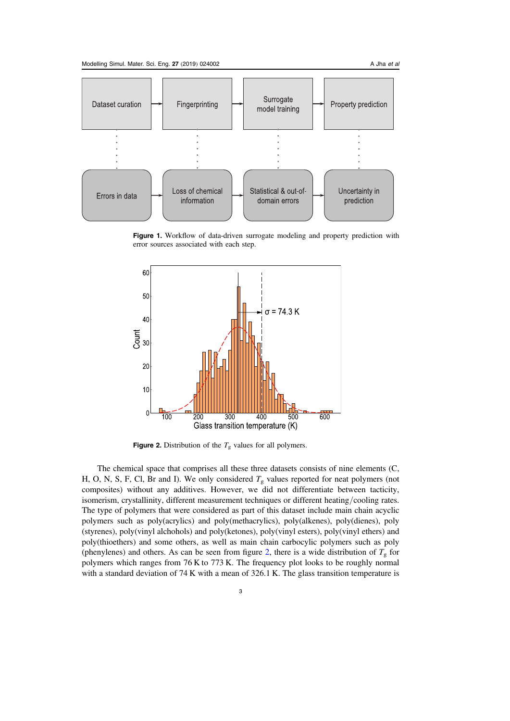<span id="page-3-0"></span>

Figure 1. Workflow of data-driven surrogate modeling and property prediction with error sources associated with each step.



**Figure 2.** Distribution of the  $T_g$  values for all polymers.

The chemical space that comprises all these three datasets consists of nine elements (C, H, O, N, S, F, Cl, Br and I). We only considered  $T_g$  values reported for neat polymers (not composites) without any additives. However, we did not differentiate between tacticity, isomerism, crystallinity, different measurement techniques or different heating/cooling rates. The type of polymers that were considered as part of this dataset include main chain acyclic polymers such as poly(acrylics) and poly(methacrylics), poly(alkenes), poly(dienes), poly (styrenes), poly(vinyl alchohols) and poly(ketones), poly(vinyl esters), poly(vinyl ethers) and poly(thioethers) and some others, as well as main chain carbocylic polymers such as poly (phenylenes) and others. As can be seen from figure 2, there is a wide distribution of  $T_g$  for polymers which ranges from 76 K to 773 K. The frequency plot looks to be roughly normal with a standard deviation of 74 K with a mean of 326.1 K. The glass transition temperature is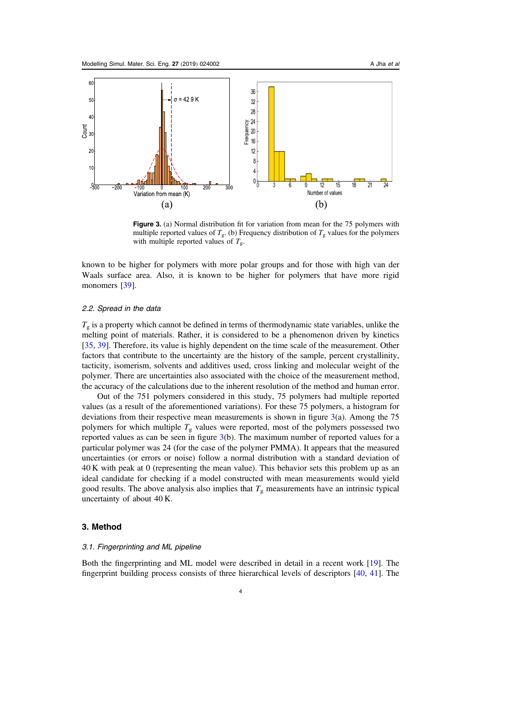<span id="page-4-0"></span>

Figure 3. (a) Normal distribution fit for variation from mean for the 75 polymers with multiple reported values of  $T_{\rm g}$ . (b) Frequency distribution of  $T_{\rm g}$  values for the polymers with multiple reported values of  $T_g$ .

known to be higher for polymers with more polar groups and for those with high van der Waals surface area. Also, it is known to be higher for polymers that have more rigid monomers [[39](#page-9-0)].

#### 2.2. Spread in the data

 $T<sub>g</sub>$  is a property which cannot be defined in terms of thermodynamic state variables, unlike the melting point of materials. Rather, it is considered to be a phenomenon driven by kinetics [[35,](#page-9-0) [39](#page-9-0)]. Therefore, its value is highly dependent on the time scale of the measurement. Other factors that contribute to the uncertainty are the history of the sample, percent crystallinity, tacticity, isomerism, solvents and additives used, cross linking and molecular weight of the polymer. There are uncertainties also associated with the choice of the measurement method, the accuracy of the calculations due to the inherent resolution of the method and human error.

Out of the 751 polymers considered in this study, 75 polymers had multiple reported values (as a result of the aforementioned variations). For these 75 polymers, a histogram for deviations from their respective mean measurements is shown in figure  $3(a)$ . Among the 75 polymers for which multiple  $T_g$  values were reported, most of the polymers possessed two reported values as can be seen in figure 3(b). The maximum number of reported values for a particular polymer was 24 (for the case of the polymer PMMA). It appears that the measured uncertainties (or errors or noise) follow a normal distribution with a standard deviation of 40 K with peak at 0 (representing the mean value). This behavior sets this problem up as an ideal candidate for checking if a model constructed with mean measurements would yield good results. The above analysis also implies that  $T<sub>g</sub>$  measurements have an intrinsic typical uncertainty of about 40 K.

#### 3. Method

#### 3.1. Fingerprinting and ML pipeline

Both the fingerprinting and ML model were described in detail in a recent work [[19](#page-8-0)]. The fingerprint building process consists of three hierarchical levels of descriptors [[40](#page-9-0), [41](#page-9-0)]. The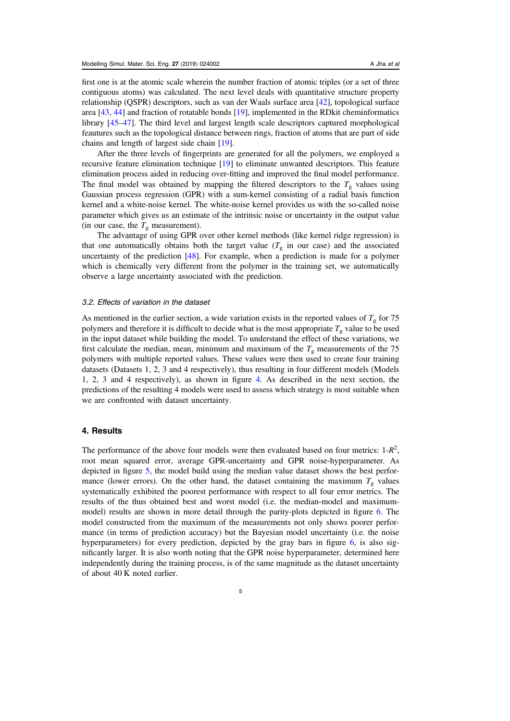<span id="page-5-0"></span>first one is at the atomic scale wherein the number fraction of atomic triples (or a set of three contiguous atoms) was calculated. The next level deals with quantitative structure property relationship (QSPR) descriptors, such as van der Waals surface area [[42](#page-9-0)], topological surface area [[43,](#page-9-0) [44](#page-9-0)] and fraction of rotatable bonds [[19](#page-8-0)], implemented in the RDkit cheminformatics library [[45](#page-9-0)–[47](#page-9-0)]. The third level and largest length scale descriptors captured morphological feautures such as the topological distance between rings, fraction of atoms that are part of side chains and length of largest side chain [[19](#page-8-0)].

After the three levels of fingerprints are generated for all the polymers, we employed a recursive feature elimination technique [[19](#page-8-0)] to eliminate unwanted descriptors. This feature elimination process aided in reducing over-fitting and improved the final model performance. The final model was obtained by mapping the filtered descriptors to the  $T<sub>g</sub>$  values using Gaussian process regression (GPR) with a sum-kernel consisting of a radial basis function kernel and a white-noise kernel. The white-noise kernel provides us with the so-called noise parameter which gives us an estimate of the intrinsic noise or uncertainty in the output value (in our case, the  $T_g$  measurement).

The advantage of using GPR over other kernel methods (like kernel ridge regression) is that one automatically obtains both the target value  $(T<sub>g</sub>$  in our case) and the associated uncertainty of the prediction [[48](#page-9-0)]. For example, when a prediction is made for a polymer which is chemically very different from the polymer in the training set, we automatically observe a large uncertainty associated with the prediction.

#### 3.2. Effects of variation in the dataset

As mentioned in the earlier section, a wide variation exists in the reported values of  $T_g$  for 75 polymers and therefore it is difficult to decide what is the most appropriate  $T_g$  value to be used in the input dataset while building the model. To understand the effect of these variations, we first calculate the median, mean, minimum and maximum of the  $T<sub>g</sub>$  measurements of the 75 polymers with multiple reported values. These values were then used to create four training datasets (Datasets 1, 2, 3 and 4 respectively), thus resulting in four different models (Models 1, 2, 3 and 4 respectively), as shown in figure [4.](#page-6-0) As described in the next section, the predictions of the resulting 4 models were used to assess which strategy is most suitable when we are confronted with dataset uncertainty.

#### 4. Results

The performance of the above four models were then evaluated based on four metrics:  $1-R^2$ , root mean squared error, average GPR-uncertainty and GPR noise-hyperparameter. As depicted in figure [5,](#page-6-0) the model build using the median value dataset shows the best performance (lower errors). On the other hand, the dataset containing the maximum  $T_g$  values systematically exhibited the poorest performance with respect to all four error metrics. The results of the thus obtained best and worst model (i.e. the median-model and maximummodel) results are shown in more detail through the parity-plots depicted in figure [6.](#page-7-0) The model constructed from the maximum of the measurements not only shows poorer performance (in terms of prediction accuracy) but the Bayesian model uncertainty (i.e. the noise hyperparameters) for every prediction, depicted by the gray bars in figure [6](#page-7-0), is also significantly larger. It is also worth noting that the GPR noise hyperparameter, determined here independently during the training process, is of the same magnitude as the dataset uncertainty of about 40 K noted earlier.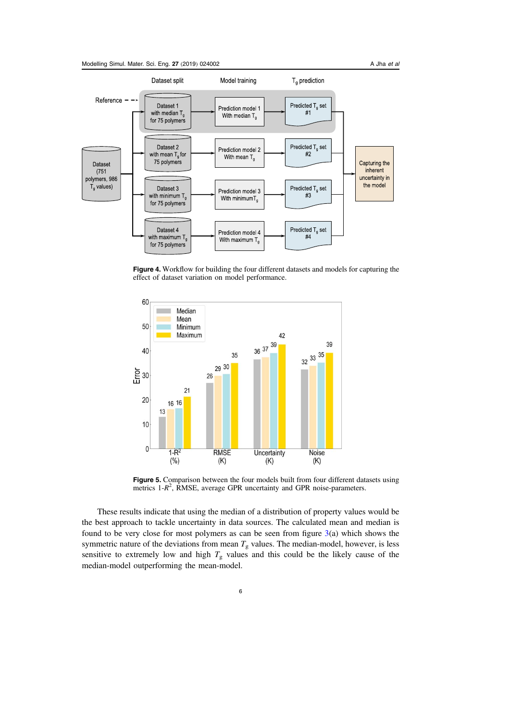

<span id="page-6-0"></span>

Figure 4. Workflow for building the four different datasets and models for capturing the effect of dataset variation on model performance.



Figure 5. Comparison between the four models built from four different datasets using metrics  $1-R^2$ , RMSE, average GPR uncertainty and GPR noise-parameters.

These results indicate that using the median of a distribution of property values would be the best approach to tackle uncertainty in data sources. The calculated mean and median is found to be very close for most polymers as can be seen from figure  $3(a)$  $3(a)$  which shows the symmetric nature of the deviations from mean  $T_g$  values. The median-model, however, is less sensitive to extremely low and high  $T_g$  values and this could be the likely cause of the median-model outperforming the mean-model.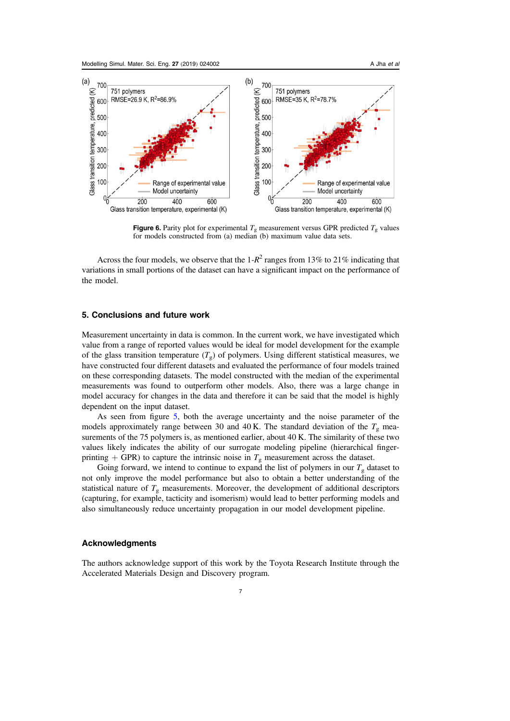<span id="page-7-0"></span>

**Figure 6.** Parity plot for experimental  $T_g$  measurement versus GPR predicted  $T_g$  values for models constructed from (a) median (b) maximum value data sets.

Across the four models, we observe that the  $1-R^2$  ranges from 13% to 21% indicating that variations in small portions of the dataset can have a significant impact on the performance of the model.

#### 5. Conclusions and future work

Measurement uncertainty in data is common. In the current work, we have investigated which value from a range of reported values would be ideal for model development for the example of the glass transition temperature  $(T_g)$  of polymers. Using different statistical measures, we have constructed four different datasets and evaluated the performance of four models trained on these corresponding datasets. The model constructed with the median of the experimental measurements was found to outperform other models. Also, there was a large change in model accuracy for changes in the data and therefore it can be said that the model is highly dependent on the input dataset.

As seen from figure [5](#page-6-0), both the average uncertainty and the noise parameter of the models approximately range between 30 and 40 K. The standard deviation of the  $T<sub>g</sub>$  measurements of the 75 polymers is, as mentioned earlier, about 40 K. The similarity of these two values likely indicates the ability of our surrogate modeling pipeline (hierarchical fingerprinting + GPR) to capture the intrinsic noise in  $T_g$  measurement across the dataset.

Going forward, we intend to continue to expand the list of polymers in our  $T<sub>g</sub>$  dataset to not only improve the model performance but also to obtain a better understanding of the statistical nature of  $T_g$  measurements. Moreover, the development of additional descriptors (capturing, for example, tacticity and isomerism) would lead to better performing models and also simultaneously reduce uncertainty propagation in our model development pipeline.

#### Acknowledgments

The authors acknowledge support of this work by the Toyota Research Institute through the Accelerated Materials Design and Discovery program.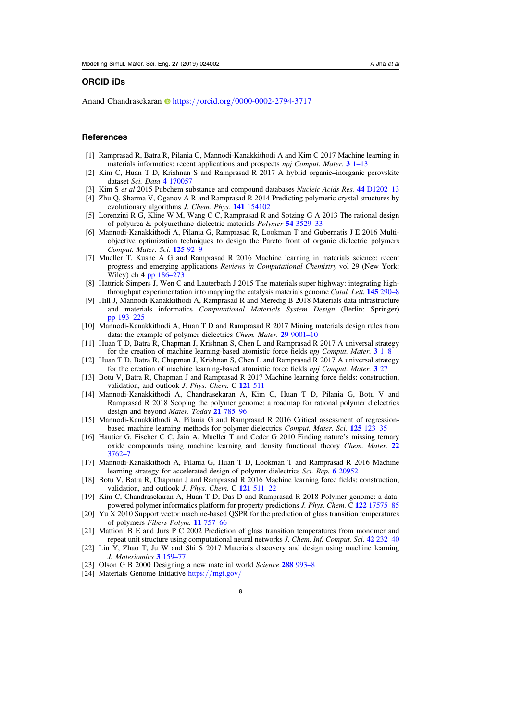#### <span id="page-8-0"></span>ORCID iDs

Anand C[h](https://orcid.org/0000-0002-2794-3717)andrasekaran **https://orcid.org/[0000-0002-2794-3717](https://orcid.org/0000-0002-2794-3717)** 

#### **References**

- [1] Ramprasad R, Batra R, Pilania G, Mannodi-Kanakkithodi A and Kim C 2017 Machine learning in materials informatics: recent applications and prospects npj Comput. Mater. 3 [1](https://doi.org/10.1038/s41524-017-0056-5)-[13](https://doi.org/10.1038/s41524-017-0056-5)
- [2] Kim C, Huan T D, Krishnan S and Ramprasad R 2017 A hybrid organic–inorganic perovskite dataset Sci. Data 4 [170057](https://doi.org/10.1038/sdata.2017.57)
- [3] Kim S et al 2015 Pubchem substance and compound databases Nucleic Acids Res. 44 [D1202](https://doi.org/10.1093/nar/gkv951)-13
- [4] Zhu Q, Sharma V, Oganov A R and Ramprasad R 2014 Predicting polymeric crystal structures by evolutionary algorithms J. Chem. Phys. 141 [154102](https://doi.org/10.1063/1.4897337)
- [5] Lorenzini R G, Kline W M, Wang C C, Ramprasad R and Sotzing G A 2013 The rational design of polyurea & polyurethane dielectric materials Polymer 54 [3529](https://doi.org/10.1016/j.polymer.2013.05.003)–33
- [6] Mannodi-Kanakkithodi A, Pilania G, Ramprasad R, Lookman T and Gubernatis J E 2016 Multiobjective optimization techniques to design the Pareto front of organic dielectric polymers Comput. Mater. Sci. [125](https://doi.org/10.1016/j.commatsci.2016.08.018) 92–9
- [7] Mueller T, Kusne A G and Ramprasad R 2016 Machine learning in materials science: recent progress and emerging applications Reviews in Computational Chemistry vol 29 (New York: Wiley) ch 4 [pp 186](https://doi.org/10.1002/9781119148739)–273
- [8] Hattrick-Simpers J, Wen C and Lauterbach J 2015 The materials super highway: integrating highthroughput experimentation into mapping the catalysis materials genome *Catal. Lett.* **[145](https://doi.org/10.1007/s10562-014-1442-y)** [290](https://doi.org/10.1007/s10562-014-1442-y)–8
- [9] Hill J, Mannodi-Kanakkithodi A, Ramprasad R and Meredig B 2018 Materials data infrastructure and materials informatics Computational Materials System Design (Berlin: Springer) [pp 193](https://doi.org/10.1007/978-3-319-68280-8_9)–225
- [10] Mannodi-Kanakkithodi A, Huan T D and Ramprasad R 2017 Mining materials design rules from data: the example of polymer dielectrics Chem. Mater. 29 [9001](https://doi.org/10.1021/acs.chemmater.7b02027)-10
- [11] Huan T D, Batra R, Chapman J, Krishnan S, Chen L and Ramprasad R 2017 A universal strategy for the creation of machine learning-based atomistic force fields *npj Comput. Mater.*  $3 \text{ } 1\text{-}8$  $3 \text{ } 1\text{-}8$  $3 \text{ } 1\text{-}8$  $3 \text{ } 1\text{-}8$
- [12] Huan T D, Batra R, Chapman J, Krishnan S, Chen L and Ramprasad R 2017 A universal strategy for the creation of machine learning-based atomistic force fields npj Comput. Mater. 3 [27](https://doi.org/10.1038/s41524-017-0042-y)
- [13] Botu V, Batra R, Chapman J and Ramprasad R 2017 Machine learning force fields: construction, validation, and outlook *J. Phys. Chem.* C 121 [511](https://doi.org/10.1021/acs.jpcc.6b10908)
- [14] Mannodi-Kanakkithodi A, Chandrasekaran A, Kim C, Huan T D, Pilania G, Botu V and Ramprasad R 2018 Scoping the polymer genome: a roadmap for rational polymer dielectrics design and beyond Mater. Today 21 [785](https://doi.org/10.1016/j.mattod.2017.11.021)–96
- [15] Mannodi-Kanakkithodi A, Pilania G and Ramprasad R 2016 Critical assessment of regressionbased machine learning methods for polymer dielectrics Comput. Mater. Sci. 125 [123](https://doi.org/10.1016/j.commatsci.2016.08.039)–35
- [16] Hautier G, Fischer C C, Jain A, Mueller T and Ceder G 2010 Finding nature's missing ternary oxide compounds using machine learning and density functional theory *Chem. Mater.* [22](https://doi.org/10.1021/cm100795d) [3762](https://doi.org/10.1021/cm100795d)–7
- [17] Mannodi-Kanakkithodi A, Pilania G, Huan T D, Lookman T and Ramprasad R 2016 Machine learning strategy for accelerated design of polymer dielectrics Sci. Rep. 6 [20952](https://doi.org/10.1038/srep20952)
- [18] Botu V, Batra R, Chapman J and Ramprasad R 2016 Machine learning force fields: construction, validation, and outlook *J. Phys. Chem.* C [121](https://doi.org/10.1021/acs.jpcc.6b10908) 511-22
- [19] Kim C, Chandrasekaran A, Huan T D, Das D and Ramprasad R 2018 Polymer genome: a data-powered polymer informatics platform for property predictions J. Phys. Chem. C 122 [17575](https://doi.org/10.1021/acs.jpcc.8b02913)-85
- [20] Yu X 2010 Support vector machine-based QSPR for the prediction of glass transition temperatures of polymers Fibers Polym. 11 [757](https://doi.org/10.1007/s12221-010-0757-6)–66
- [21] Mattioni B E and Jurs P C 2002 Prediction of glass transition temperatures from monomer and repeat unit structure using computational neural networks *J. Chem. Inf. Comput. Sci.* 42 [232](https://doi.org/10.1021/ci010062o)–40
- [22] Liu Y, Zhao T, Ju W and Shi S 2017 Materials discovery and design using machine learning J. Materiomics 3 [159](https://doi.org/10.1016/j.jmat.2017.08.002)–77
- [23] Olson G B 2000 Designing a new material world Science 288 [993](https://doi.org/10.1126/science.288.5468.993)-8
- [24] Materials Genome Initiative https://[mgi.gov](https://www.mgi.gov/)/